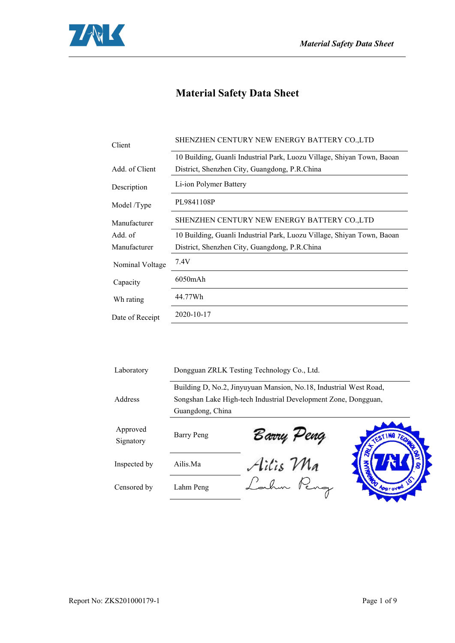

## **Material Safety Data Sheet**

| Client          | SHENZHEN CENTURY NEW ENERGY BATTERY CO.,LTD                            |  |
|-----------------|------------------------------------------------------------------------|--|
|                 | 10 Building, Guanli Industrial Park, Luozu Village, Shiyan Town, Baoan |  |
| Add. of Client  | District, Shenzhen City, Guangdong, P.R.China                          |  |
| Description     | Li-ion Polymer Battery                                                 |  |
| Model /Type     | PL9841108P                                                             |  |
| Manufacturer    | SHENZHEN CENTURY NEW ENERGY BATTERY CO.,LTD                            |  |
| Add. of         | 10 Building, Guanli Industrial Park, Luozu Village, Shiyan Town, Baoan |  |
| Manufacturer    | District, Shenzhen City, Guangdong, P.R.China                          |  |
| Nominal Voltage | 7.4V                                                                   |  |
| Capacity        | $6050$ m $Ah$                                                          |  |
| Wh rating       | 44.77Wh                                                                |  |
| Date of Receipt | 2020-10-17                                                             |  |
|                 |                                                                        |  |

| Laboratory            |                   | Dongguan ZRLK Testing Technology Co., Ltd.                        |          |
|-----------------------|-------------------|-------------------------------------------------------------------|----------|
|                       |                   | Building D, No.2, Jinyuyuan Mansion, No.18, Industrial West Road, |          |
| Address               |                   | Songshan Lake High-tech Industrial Development Zone, Dongguan,    |          |
|                       | Guangdong, China  |                                                                   |          |
| Approved<br>Signatory | <b>Barry Peng</b> | Barry Peng                                                        | TESTING) |
| Inspected by          | Ailis.Ma          | Ailis Ma                                                          |          |
| Censored by           | Lahm Peng         |                                                                   | Approved |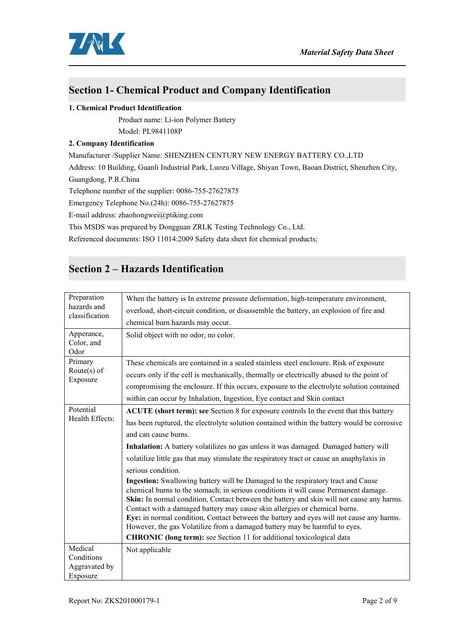

### **Section 1- Chemical Product and Company Identification**

#### **1. Chemical Product Identification**

Product name: Li-ion Polymer Battery Model: PL9841108P

#### **2. Company Identification**

Manufacturer /Supplier Name: SHENZHEN CENTURY NEW ENERGY BATTERY CO.,LTD Address: 10 Building, Guanli Industrial Park, Luozu Village, Shiyan Town, Baoan District, Shenzhen City, Guangdong, P.R.China Telephone number of the supplier: 0086-755-27627875 Emergency Telephone No.(24h): 0086-755-27627875 E-mail address: zhaohongwei@ptiking.com This MSDS was prepared by Dongguan ZRLK Testing Technology Co., Ltd. Referenced documents: ISO 11014:2009 Safety data sheet for chemical products;

## **Section 2 – Hazards Identification**

| Preparation                      | When the battery is In extreme pressure deformation, high-temperature environment,                                                                                                                                                                                                                                                                                                                                                                                                                                                                                                                     |  |
|----------------------------------|--------------------------------------------------------------------------------------------------------------------------------------------------------------------------------------------------------------------------------------------------------------------------------------------------------------------------------------------------------------------------------------------------------------------------------------------------------------------------------------------------------------------------------------------------------------------------------------------------------|--|
| hazards and<br>classification    | overload, short-circuit condition, or disassemble the battery, an explosion of fire and                                                                                                                                                                                                                                                                                                                                                                                                                                                                                                                |  |
|                                  | chemical burn hazards may occur.                                                                                                                                                                                                                                                                                                                                                                                                                                                                                                                                                                       |  |
| Apperance,<br>Color, and<br>Odor | Solid object with no odor, no color.                                                                                                                                                                                                                                                                                                                                                                                                                                                                                                                                                                   |  |
| Primary                          | These chemicals are contained in a sealed stainless steel enclosure. Risk of exposure                                                                                                                                                                                                                                                                                                                                                                                                                                                                                                                  |  |
| Route $(s)$ of<br>Exposure       | occurs only if the cell is mechanically, thermally or electrically abused to the point of                                                                                                                                                                                                                                                                                                                                                                                                                                                                                                              |  |
|                                  | compromising the enclosure. If this occurs, exposure to the electrolyte solution contained                                                                                                                                                                                                                                                                                                                                                                                                                                                                                                             |  |
|                                  | within can occur by Inhalation, Ingestion, Eye contact and Skin contact                                                                                                                                                                                                                                                                                                                                                                                                                                                                                                                                |  |
| Potential                        | ACUTE (short term): see Section 8 for exposure controls In the event that this battery                                                                                                                                                                                                                                                                                                                                                                                                                                                                                                                 |  |
| Health Effects:                  | has been ruptured, the electrolyte solution contained within the battery would be corrosive                                                                                                                                                                                                                                                                                                                                                                                                                                                                                                            |  |
|                                  | and can cause burns.                                                                                                                                                                                                                                                                                                                                                                                                                                                                                                                                                                                   |  |
|                                  | Inhalation: A battery volatilizes no gas unless it was damaged. Damaged battery will                                                                                                                                                                                                                                                                                                                                                                                                                                                                                                                   |  |
|                                  | volatilize little gas that may stimulate the respiratory tract or cause an anaphylaxis in                                                                                                                                                                                                                                                                                                                                                                                                                                                                                                              |  |
|                                  | serious condition.                                                                                                                                                                                                                                                                                                                                                                                                                                                                                                                                                                                     |  |
|                                  | Ingestion: Swallowing battery will be Damaged to the respiratory tract and Cause<br>chemical burns to the stomach; in serious conditions it will cause Permanent damage.<br>Skin: In normal condition, Contact between the battery and skin will not cause any harms.<br>Contact with a damaged battery may cause skin allergies or chemical burns.<br>Eye: in normal condition, Contact between the battery and eyes will not cause any harms.<br>However, the gas Volatilize from a damaged battery may be harmful to eyes.<br>CHRONIC (long term): see Section 11 for additional toxicological data |  |
| Medical                          | Not applicable                                                                                                                                                                                                                                                                                                                                                                                                                                                                                                                                                                                         |  |
| Conditions                       |                                                                                                                                                                                                                                                                                                                                                                                                                                                                                                                                                                                                        |  |
| Aggravated by<br>Exposure        |                                                                                                                                                                                                                                                                                                                                                                                                                                                                                                                                                                                                        |  |
|                                  |                                                                                                                                                                                                                                                                                                                                                                                                                                                                                                                                                                                                        |  |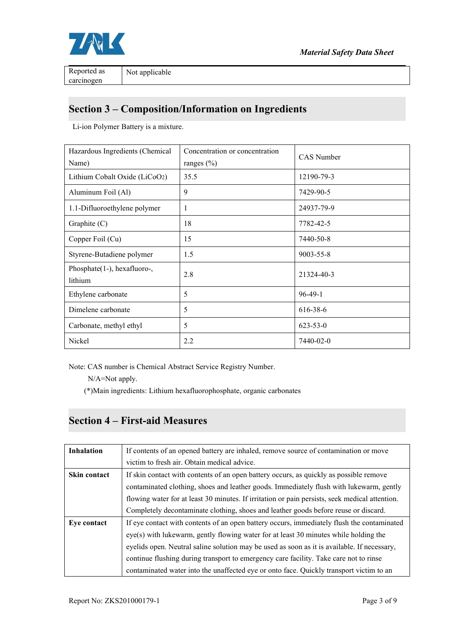

carcinogen

### **Section 3 – Composition/Information on Ingredients**

Li-ion Polymer Battery is a mixture.

| Hazardous Ingredients (Chemical<br>Name) | Concentration or concentration<br>ranges $(\% )$ | CAS Number      |
|------------------------------------------|--------------------------------------------------|-----------------|
| Lithium Cobalt Oxide (LiCoO2)            | 35.5                                             | 12190-79-3      |
| Aluminum Foil (Al)                       | 9                                                | 7429-90-5       |
| 1.1-Difluoroethylene polymer             | 1                                                | 24937-79-9      |
| Graphite $(C)$                           | 18                                               | 7782-42-5       |
| Copper Foil (Cu)                         | 15                                               | 7440-50-8       |
| Styrene-Butadiene polymer                | 1.5                                              | $9003 - 55 - 8$ |
| Phosphate(1-), hexafluoro-,<br>lithium   | 2.8                                              | 21324-40-3      |
| Ethylene carbonate                       | 5                                                | $96-49-1$       |
| Dimelene carbonate                       | 5                                                | 616-38-6        |
| Carbonate, methyl ethyl                  | 5                                                | $623 - 53 - 0$  |
| Nickel                                   | 2.2                                              | 7440-02-0       |

Note: CAS number is Chemical Abstract Service Registry Number.

N/A=Not apply.

(\*)Main ingredients: Lithium hexafluorophosphate, organic carbonates

### **Section 4 – First-aid Measures**

| Inhalation   | If contents of an opened battery are inhaled, remove source of contamination or move           |  |
|--------------|------------------------------------------------------------------------------------------------|--|
|              | victim to fresh air. Obtain medical advice.                                                    |  |
| Skin contact | If skin contact with contents of an open battery occurs, as quickly as possible remove         |  |
|              | contaminated clothing, shoes and leather goods. Immediately flush with lukewarm, gently        |  |
|              | flowing water for at least 30 minutes. If irritation or pain persists, seek medical attention. |  |
|              | Completely decontaminate clothing, shoes and leather goods before reuse or discard.            |  |
| Eye contact  | If eye contact with contents of an open battery occurs, immediately flush the contaminated     |  |
|              | eye(s) with lukewarm, gently flowing water for at least 30 minutes while holding the           |  |
|              | eyelids open. Neutral saline solution may be used as soon as it is available. If necessary,    |  |
|              | continue flushing during transport to emergency care facility. Take care not to rinse          |  |
|              | contaminated water into the unaffected eye or onto face. Quickly transport victim to an        |  |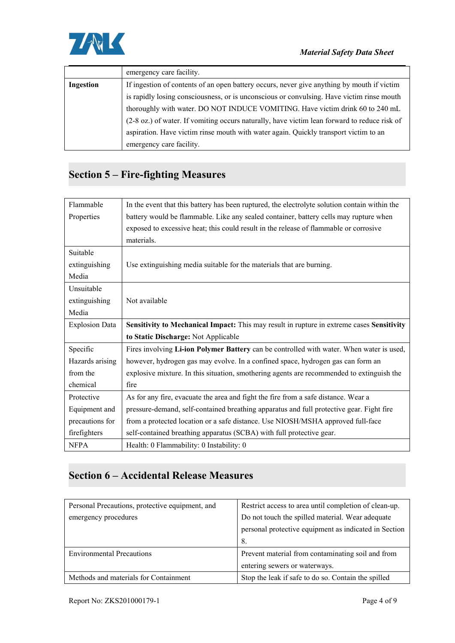

|           | emergency care facility.                                                                     |
|-----------|----------------------------------------------------------------------------------------------|
| Ingestion | If ingestion of contents of an open battery occurs, never give anything by mouth if victim   |
|           | is rapidly losing consciousness, or is unconscious or convulsing. Have victim rinse mouth    |
|           | thoroughly with water. DO NOT INDUCE VOMITING. Have victim drink 60 to 240 mL                |
|           | (2-8 oz.) of water. If vomiting occurs naturally, have victim lean forward to reduce risk of |
|           | aspiration. Have victim rinse mouth with water again. Quickly transport victim to an         |
|           | emergency care facility.                                                                     |

# **Section 5 – Fire-fighting Measures**

| Flammable             | In the event that this battery has been ruptured, the electrolyte solution contain within the |
|-----------------------|-----------------------------------------------------------------------------------------------|
| Properties            | battery would be flammable. Like any sealed container, battery cells may rupture when         |
|                       | exposed to excessive heat; this could result in the release of flammable or corrosive         |
|                       | materials.                                                                                    |
| Suitable              |                                                                                               |
| extinguishing         | Use extinguishing media suitable for the materials that are burning.                          |
| Media                 |                                                                                               |
| Unsuitable            |                                                                                               |
| extinguishing         | Not available                                                                                 |
| Media                 |                                                                                               |
| <b>Explosion Data</b> | Sensitivity to Mechanical Impact: This may result in rupture in extreme cases Sensitivity     |
|                       | to Static Discharge: Not Applicable                                                           |
| Specific              | Fires involving Li-ion Polymer Battery can be controlled with water. When water is used,      |
| Hazards arising       | however, hydrogen gas may evolve. In a confined space, hydrogen gas can form an               |
| from the              | explosive mixture. In this situation, smothering agents are recommended to extinguish the     |
| chemical              | fire                                                                                          |
| Protective            | As for any fire, evacuate the area and fight the fire from a safe distance. Wear a            |
| Equipment and         | pressure-demand, self-contained breathing apparatus and full protective gear. Fight fire      |
| precautions for       | from a protected location or a safe distance. Use NIOSH/MSHA approved full-face               |
| firefighters          | self-contained breathing apparatus (SCBA) with full protective gear.                          |
| <b>NFPA</b>           | Health: 0 Flammability: 0 Instability: 0                                                      |

# **Section 6 – Accidental Release Measures**

| Personal Precautions, protective equipment, and | Restrict access to area until completion of clean-up. |
|-------------------------------------------------|-------------------------------------------------------|
| emergency procedures                            | Do not touch the spilled material. Wear adequate      |
|                                                 | personal protective equipment as indicated in Section |
|                                                 | - 8.                                                  |
| <b>Environmental Precautions</b>                | Prevent material from contaminating soil and from     |
|                                                 | entering sewers or waterways.                         |
| Methods and materials for Containment           | Stop the leak if safe to do so. Contain the spilled   |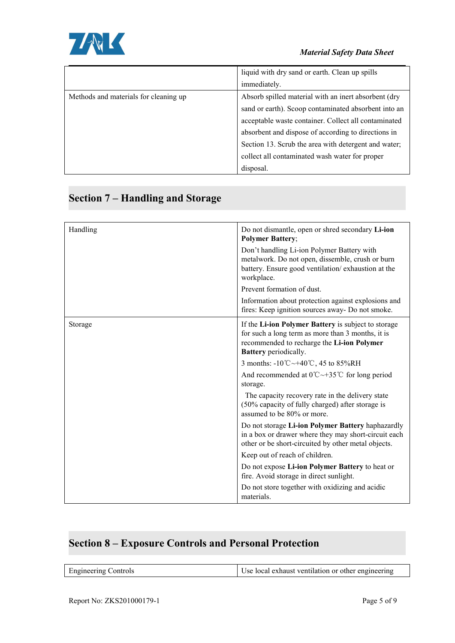

|                                       | liquid with dry sand or earth. Clean up spills       |
|---------------------------------------|------------------------------------------------------|
|                                       | immediately.                                         |
| Methods and materials for cleaning up | Absorb spilled material with an inert absorbent (dry |
|                                       | sand or earth). Scoop contaminated absorbent into an |
|                                       | acceptable waste container. Collect all contaminated |
|                                       | absorbent and dispose of according to directions in  |
|                                       | Section 13. Scrub the area with detergent and water; |
|                                       | collect all contaminated wash water for proper       |
|                                       | disposal.                                            |

# **Section 7 – Handling and Storage**

| Handling | Do not dismantle, open or shred secondary Li-ion<br><b>Polymer Battery;</b>                                                                                                            |
|----------|----------------------------------------------------------------------------------------------------------------------------------------------------------------------------------------|
|          | Don't handling Li-ion Polymer Battery with<br>metalwork. Do not open, dissemble, crush or burn<br>battery. Ensure good ventilation/exhaustion at the<br>workplace.                     |
|          | Prevent formation of dust.                                                                                                                                                             |
|          | Information about protection against explosions and<br>fires: Keep ignition sources away- Do not smoke.                                                                                |
| Storage  | If the Li-ion Polymer Battery is subject to storage<br>for such a long term as more than 3 months, it is<br>recommended to recharge the Li-ion Polymer<br><b>Battery</b> periodically. |
|          | 3 months: $-10^{\circ}\text{C} \rightarrow +40^{\circ}\text{C}$ , 45 to 85%RH                                                                                                          |
|          | And recommended at $0^{\circ}C \rightarrow 35^{\circ}C$ for long period<br>storage.                                                                                                    |
|          | The capacity recovery rate in the delivery state<br>(50% capacity of fully charged) after storage is<br>assumed to be 80% or more.                                                     |
|          | Do not storage Li-ion Polymer Battery haphazardly<br>in a box or drawer where they may short-circuit each<br>other or be short-circuited by other metal objects.                       |
|          | Keep out of reach of children.                                                                                                                                                         |
|          | Do not expose Li-ion Polymer Battery to heat or<br>fire. Avoid storage in direct sunlight.                                                                                             |
|          | Do not store together with oxidizing and acidic<br>materials.                                                                                                                          |

# **Section 8 – Exposure Controls and Personal Protection**

| $\Gamma$ and $\Gamma$ and $\Gamma$ and $\Gamma$ and $\Gamma$ | Use local exhaust ventilation or other engineering |
|--------------------------------------------------------------|----------------------------------------------------|

 $\overline{\phantom{a}}$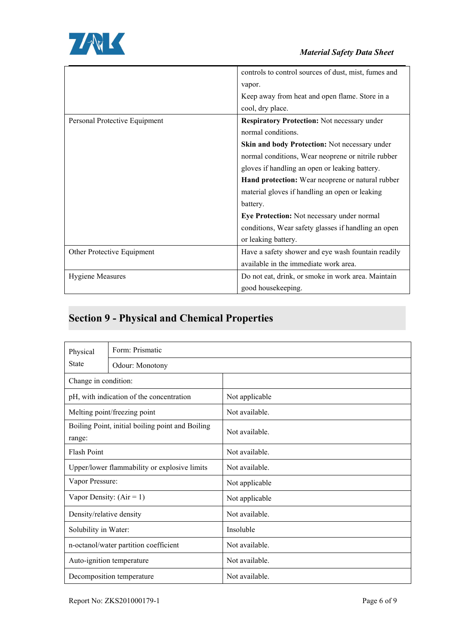

|                               | controls to control sources of dust, mist, fumes and |
|-------------------------------|------------------------------------------------------|
|                               |                                                      |
|                               | vapor.                                               |
|                               | Keep away from heat and open flame. Store in a       |
|                               | cool, dry place.                                     |
| Personal Protective Equipment | <b>Respiratory Protection: Not necessary under</b>   |
|                               | normal conditions.                                   |
|                               | Skin and body Protection: Not necessary under        |
|                               | normal conditions, Wear neoprene or nitrile rubber   |
|                               | gloves if handling an open or leaking battery.       |
|                               | Hand protection: Wear neoprene or natural rubber     |
|                               | material gloves if handling an open or leaking       |
|                               | battery.                                             |
|                               | Eye Protection: Not necessary under normal           |
|                               | conditions, Wear safety glasses if handling an open  |
|                               | or leaking battery.                                  |
| Other Protective Equipment    | Have a safety shower and eye wash fountain readily   |
|                               | available in the immediate work area.                |
| <b>Hygiene Measures</b>       | Do not eat, drink, or smoke in work area. Maintain   |
|                               | good housekeeping.                                   |
|                               |                                                      |

# **Section 9 - Physical and Chemical Properties**

| Physical<br><b>State</b>   | Form: Prismatic                                  |                |  |
|----------------------------|--------------------------------------------------|----------------|--|
|                            | Odour: Monotony                                  |                |  |
| Change in condition:       |                                                  |                |  |
|                            | pH, with indication of the concentration         | Not applicable |  |
|                            | Not available.<br>Melting point/freezing point   |                |  |
| range:                     | Boiling Point, initial boiling point and Boiling | Not available. |  |
| <b>Flash Point</b>         | Not available.                                   |                |  |
|                            | Upper/lower flammability or explosive limits     | Not available. |  |
| Vapor Pressure:            |                                                  | Not applicable |  |
| Vapor Density: $(Air = 1)$ |                                                  | Not applicable |  |
| Density/relative density   |                                                  | Not available. |  |
| Solubility in Water:       |                                                  | Insoluble      |  |
|                            | n-octanol/water partition coefficient            | Not available. |  |
|                            | Auto-ignition temperature                        | Not available. |  |
|                            | Not available.<br>Decomposition temperature      |                |  |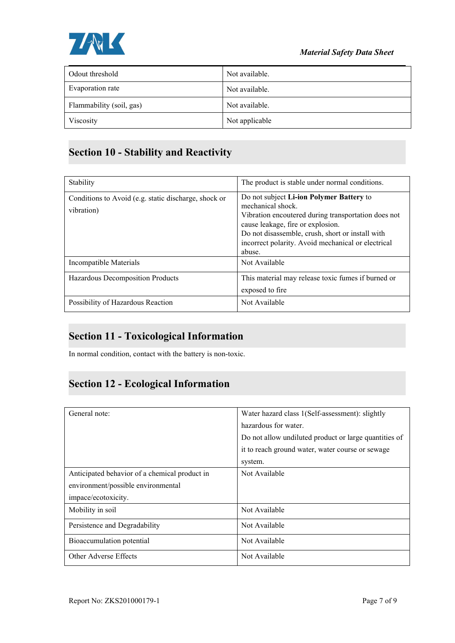

| Odout threshold          | Not available. |
|--------------------------|----------------|
| Evaporation rate         | Not available. |
| Flammability (soil, gas) | Not available. |
| Viscosity                | Not applicable |

# **Section 10 - Stability and Reactivity**

| Stability                                                          | The product is stable under normal conditions.                                                                                                                                                                                                                                |
|--------------------------------------------------------------------|-------------------------------------------------------------------------------------------------------------------------------------------------------------------------------------------------------------------------------------------------------------------------------|
| Conditions to Avoid (e.g. static discharge, shock or<br>vibration) | Do not subject Li-ion Polymer Battery to<br>mechanical shock.<br>Vibration encoutered during transportation does not<br>cause leakage, fire or explosion.<br>Do not disassemble, crush, short or install with<br>incorrect polarity. Avoid mechanical or electrical<br>abuse. |
| Incompatible Materials                                             | Not Available                                                                                                                                                                                                                                                                 |
| Hazardous Decomposition Products                                   | This material may release toxic fumes if burned or<br>exposed to fire                                                                                                                                                                                                         |
| Possibility of Hazardous Reaction                                  | Not Available                                                                                                                                                                                                                                                                 |

## **Section 11 - Toxicological Information**

In normal condition, contact with the battery is non-toxic.

## **Section 12 - Ecological Information**

| General note:                                 | Water hazard class 1(Self-assessment): slightly       |
|-----------------------------------------------|-------------------------------------------------------|
|                                               | hazardous for water.                                  |
|                                               | Do not allow undiluted product or large quantities of |
|                                               | it to reach ground water, water course or sewage      |
|                                               | system.                                               |
| Anticipated behavior of a chemical product in | Not Available                                         |
| environment/possible environmental            |                                                       |
| impace/ecotoxicity.                           |                                                       |
| Mobility in soil                              | Not Available                                         |
| Persistence and Degradability                 | Not Available                                         |
| Bioaccumulation potential                     | Not Available                                         |
| Other Adverse Effects                         | Not Available                                         |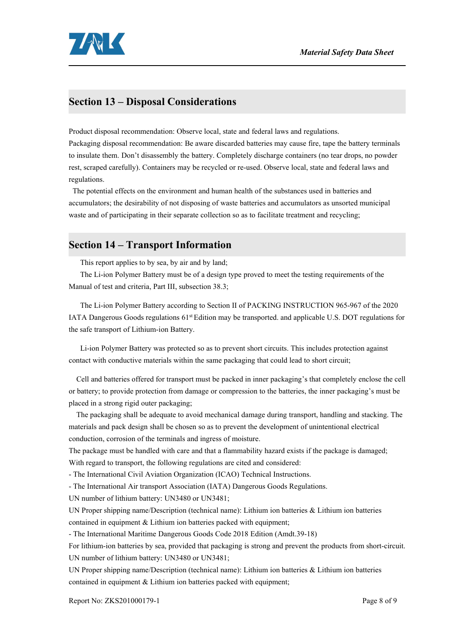

#### **Section 13 – Disposal Considerations**

Product disposal recommendation: Observe local, state and federal laws and regulations.

Packaging disposal recommendation: Be aware discarded batteries may cause fire, tape the battery terminals to insulate them. Don't disassembly the battery.Completely discharge containers (no tear drops, no powder rest, scraped carefully). Containers may be recycled or re-used. Observe local, state and federal laws and regulations.

The potential effects on the environment and human health of the substances used in batteries and accumulators; the desirability of not disposing of waste batteries and accumulators as unsorted municipal waste and of participating in their separate collection so as to facilitate treatment and recycling;

#### **Section 14 – Transport Information**

This report applies to by sea, by air and by land;

The Li-ion Polymer Battery must be of a design type proved to meet the testing requirements ofthe Manual of test and criteria, Part III, subsection 38.3;

The Li-ion Polymer Battery according to Section II of PACKING INSTRUCTION 965-967 of the 2020 IATA Dangerous Goods regulations 61<sup>st</sup> Edition may be transported. and applicable U.S. DOT regulations for the safe transport of Lithium-ion Battery.

Li-ion Polymer Battery was protected so as to prevent short circuits. This includes protection against contact with conductive materials within the same packaging that could lead to short circuit;

Cell and batteries offered for transport must be packed in inner packaging's that completely enclose the cell or battery; to provide protection from damage or compression to the batteries, the inner packaging's must be placed in a strong rigid outer packaging;

The packaging shall be adequate to avoid mechanical damage during transport, handling and stacking. The materials and pack design shall be chosen so as to prevent the development of unintentional electrical conduction, corrosion of the terminals and ingress of moisture.

The package must be handled with care and that a flammability hazard exists if the package is damaged; With regard to transport, the following regulations are cited and considered:

- The International Civil Aviation Organization (ICAO) Technical Instructions.

- The International Air transport Association (IATA) Dangerous Goods Regulations.

UN number of lithium battery: UN3480 or UN3481;

UN Proper shipping name/Description (technical name): Lithium ion batteries & Lithium ion batteries contained in equipment & Lithium ion batteries packed with equipment;

- The International Maritime Dangerous Goods Code 2018 Edition (Amdt.39-18)

For lithium-ion batteries by sea, provided that packaging is strong and prevent the products from short-circuit. UN number of lithium battery: UN3480 or UN3481;

UN Proper shipping name/Description (technical name): Lithium ion batteries & Lithium ion batteries contained in equipment & Lithium ion batteries packed with equipment;